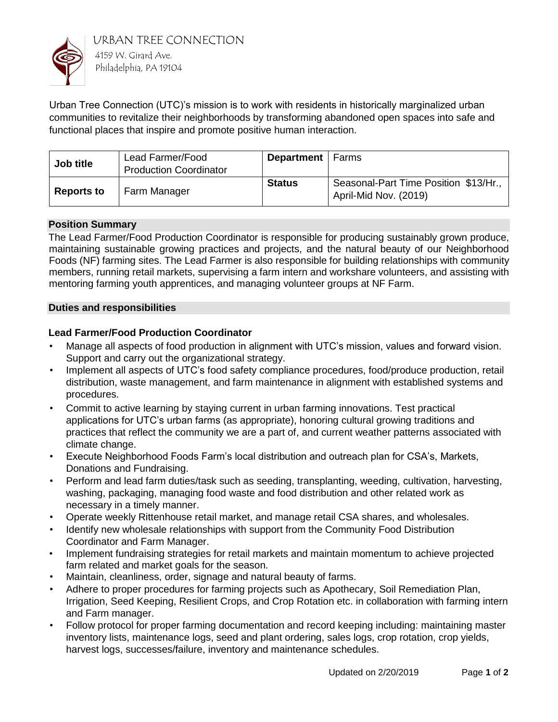

URBAN TREE CONNECTION 4159 W. Girard Ave. Philadelphia, PA 19104

Urban Tree Connection (UTC)'s mission is to work with residents in historically marginalized urban communities to revitalize their neighborhoods by transforming abandoned open spaces into safe and functional places that inspire and promote positive human interaction.

| Job title         | Lead Farmer/Food<br><b>Production Coordinator</b> | <b>Department</b>   Farms |                                                                |
|-------------------|---------------------------------------------------|---------------------------|----------------------------------------------------------------|
| <b>Reports to</b> | Farm Manager                                      | <b>Status</b>             | Seasonal-Part Time Position \$13/Hr.,<br>April-Mid Nov. (2019) |

## **Position Summary**

The Lead Farmer/Food Production Coordinator is responsible for producing sustainably grown produce, maintaining sustainable growing practices and projects, and the natural beauty of our Neighborhood Foods (NF) farming sites. The Lead Farmer is also responsible for building relationships with community members, running retail markets, supervising a farm intern and workshare volunteers, and assisting with mentoring farming youth apprentices, and managing volunteer groups at NF Farm.

### **Duties and responsibilities**

## **Lead Farmer/Food Production Coordinator**

- Manage all aspects of food production in alignment with UTC's mission, values and forward vision. Support and carry out the organizational strategy.
- Implement all aspects of UTC's food safety compliance procedures, food/produce production, retail distribution, waste management, and farm maintenance in alignment with established systems and procedures.
- Commit to active learning by staying current in urban farming innovations. Test practical applications for UTC's urban farms (as appropriate), honoring cultural growing traditions and practices that reflect the community we are a part of, and current weather patterns associated with climate change.
- Execute Neighborhood Foods Farm's local distribution and outreach plan for CSA's, Markets, Donations and Fundraising.
- Perform and lead farm duties/task such as seeding, transplanting, weeding, cultivation, harvesting, washing, packaging, managing food waste and food distribution and other related work as necessary in a timely manner.
- Operate weekly Rittenhouse retail market, and manage retail CSA shares, and wholesales.
- Identify new wholesale relationships with support from the Community Food Distribution Coordinator and Farm Manager.
- Implement fundraising strategies for retail markets and maintain momentum to achieve projected farm related and market goals for the season.
- Maintain, cleanliness, order, signage and natural beauty of farms.
- Adhere to proper procedures for farming projects such as Apothecary, Soil Remediation Plan, Irrigation, Seed Keeping, Resilient Crops, and Crop Rotation etc. in collaboration with farming intern and Farm manager.
- Follow protocol for proper farming documentation and record keeping including: maintaining master inventory lists, maintenance logs, seed and plant ordering, sales logs, crop rotation, crop yields, harvest logs, successes/failure, inventory and maintenance schedules.